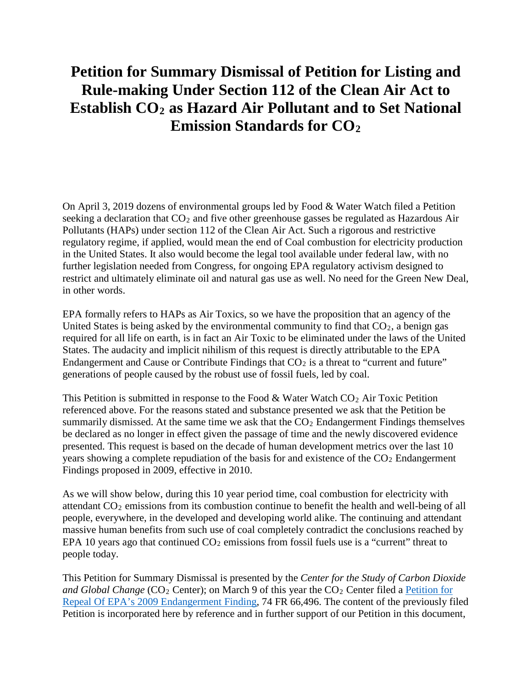#### **Petition for Summary Dismissal of Petition for Listing and Rule-making Under Section 112 of the Clean Air Act to Establish CO2 as Hazard Air Pollutant and to Set National Emission Standards for CO2**

On April 3, 2019 dozens of environmental groups led by Food & Water Watch filed a Petition seeking a declaration that CO<sub>2</sub> and five other greenhouse gasses be regulated as Hazardous Air Pollutants (HAPs) under section 112 of the Clean Air Act. Such a rigorous and restrictive regulatory regime, if applied, would mean the end of Coal combustion for electricity production in the United States. It also would become the legal tool available under federal law, with no further legislation needed from Congress, for ongoing EPA regulatory activism designed to restrict and ultimately eliminate oil and natural gas use as well. No need for the Green New Deal, in other words.

EPA formally refers to HAPs as Air Toxics, so we have the proposition that an agency of the United States is being asked by the environmental community to find that  $CO<sub>2</sub>$ , a benign gas required for all life on earth, is in fact an Air Toxic to be eliminated under the laws of the United States. The audacity and implicit nihilism of this request is directly attributable to the EPA Endangerment and Cause or Contribute Findings that  $CO<sub>2</sub>$  is a threat to "current and future" generations of people caused by the robust use of fossil fuels, led by coal.

This Petition is submitted in response to the Food & Water Watch  $CO<sub>2</sub>$  Air Toxic Petition referenced above. For the reasons stated and substance presented we ask that the Petition be summarily dismissed. At the same time we ask that the  $CO<sub>2</sub>$  Endangerment Findings themselves be declared as no longer in effect given the passage of time and the newly discovered evidence presented. This request is based on the decade of human development metrics over the last 10 years showing a complete repudiation of the basis for and existence of the  $CO<sub>2</sub>$  Endangerment Findings proposed in 2009, effective in 2010.

As we will show below, during this 10 year period time, coal combustion for electricity with attendant CO2 emissions from its combustion continue to benefit the health and well-being of all people, everywhere, in the developed and developing world alike. The continuing and attendant massive human benefits from such use of coal completely contradict the conclusions reached by EPA 10 years ago that continued  $CO<sub>2</sub>$  emissions from fossil fuels use is a "current" threat to people today.

This Petition for Summary Dismissal is presented by the *Center for the Study of Carbon Dioxide and Global Change* (CO<sub>2</sub> Center); on March 9 of this year the CO<sub>2</sub> Center filed a Petition for Repeal [Of EPA's 2009 Endangerment Finding,](https://www.co2science.org/articles/V23/mar/EPAPetitionCO2ScienceMarch2020.pdf) 74 FR 66,496. The content of the previously filed Petition is incorporated here by reference and in further support of our Petition in this document,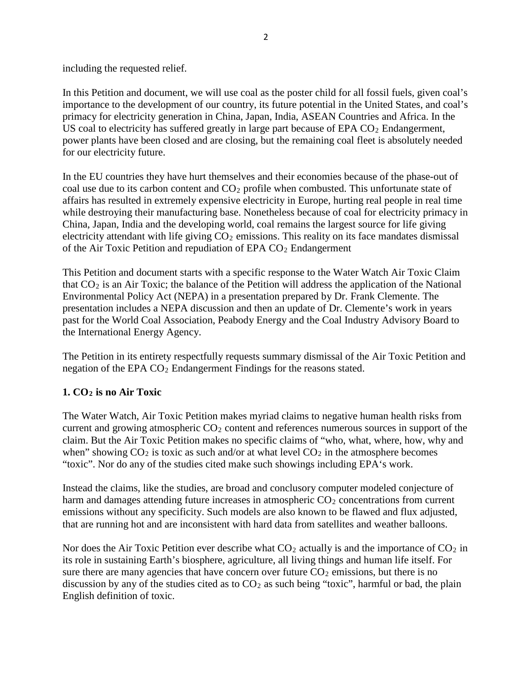including the requested relief.

In this Petition and document, we will use coal as the poster child for all fossil fuels, given coal's importance to the development of our country, its future potential in the United States, and coal's primacy for electricity generation in China, Japan, India, ASEAN Countries and Africa. In the US coal to electricity has suffered greatly in large part because of EPA  $CO<sub>2</sub>$  Endangerment, power plants have been closed and are closing, but the remaining coal fleet is absolutely needed for our electricity future.

In the EU countries they have hurt themselves and their economies because of the phase-out of coal use due to its carbon content and CO2 profile when combusted. This unfortunate state of affairs has resulted in extremely expensive electricity in Europe, hurting real people in real time while destroying their manufacturing base. Nonetheless because of coal for electricity primacy in China, Japan, India and the developing world, coal remains the largest source for life giving electricity attendant with life giving  $CO<sub>2</sub>$  emissions. This reality on its face mandates dismissal of the Air Toxic Petition and repudiation of EPA CO2 Endangerment

This Petition and document starts with a specific response to the Water Watch Air Toxic Claim that  $CO<sub>2</sub>$  is an Air Toxic; the balance of the Petition will address the application of the National Environmental Policy Act (NEPA) in a presentation prepared by Dr. Frank Clemente. The presentation includes a NEPA discussion and then an update of Dr. Clemente's work in years past for the World Coal Association, Peabody Energy and the Coal Industry Advisory Board to the International Energy Agency.

The Petition in its entirety respectfully requests summary dismissal of the Air Toxic Petition and negation of the EPA CO2 Endangerment Findings for the reasons stated.

#### **1. CO2 is no Air Toxic**

The Water Watch, Air Toxic Petition makes myriad claims to negative human health risks from current and growing atmospheric  $CO<sub>2</sub>$  content and references numerous sources in support of the claim. But the Air Toxic Petition makes no specific claims of "who, what, where, how, why and when" showing  $CO_2$  is toxic as such and/or at what level  $CO_2$  in the atmosphere becomes "toxic". Nor do any of the studies cited make such showings including EPA's work.

Instead the claims, like the studies, are broad and conclusory computer modeled conjecture of harm and damages attending future increases in atmospheric  $CO<sub>2</sub>$  concentrations from current emissions without any specificity. Such models are also known to be flawed and flux adjusted, that are running hot and are inconsistent with hard data from satellites and weather balloons.

Nor does the Air Toxic Petition ever describe what  $CO<sub>2</sub>$  actually is and the importance of  $CO<sub>2</sub>$  in its role in sustaining Earth's biosphere, agriculture, all living things and human life itself. For sure there are many agencies that have concern over future  $CO<sub>2</sub>$  emissions, but there is no discussion by any of the studies cited as to  $CO<sub>2</sub>$  as such being "toxic", harmful or bad, the plain English definition of toxic.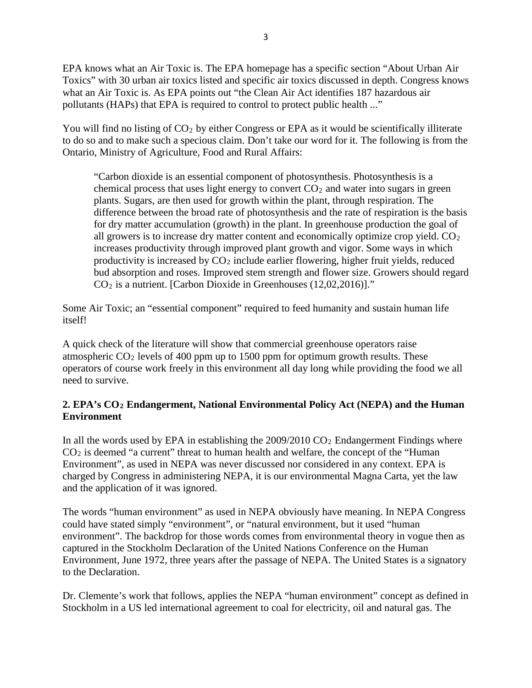EPA knows what an Air Toxic is. The EPA homepage has a specific section "About Urban Air Toxics" with 30 urban air toxics listed and specific air toxics discussed in depth. Congress knows what an Air Toxic is. As EPA points out "the Clean Air Act identifies 187 hazardous air pollutants (HAPs) that EPA is required to control to protect public health ..."

You will find no listing of  $CO<sub>2</sub>$  by either Congress or EPA as it would be scientifically illiterate to do so and to make such a specious claim. Don't take our word for it. The following is from the Ontario, Ministry of Agriculture, Food and Rural Affairs:

"Carbon dioxide is an essential component of photosynthesis. Photosynthesis is a chemical process that uses light energy to convert  $CO<sub>2</sub>$  and water into sugars in green plants. Sugars, are then used for growth within the plant, through respiration. The difference between the broad rate of photosynthesis and the rate of respiration is the basis for dry matter accumulation (growth) in the plant. In greenhouse production the goal of all growers is to increase dry matter content and economically optimize crop yield.  $CO<sub>2</sub>$ increases productivity through improved plant growth and vigor. Some ways in which productivity is increased by  $CO<sub>2</sub>$  include earlier flowering, higher fruit yields, reduced bud absorption and roses. Improved stem strength and flower size. Growers should regard CO2 is a nutrient. [Carbon Dioxide in Greenhouses (12,02,2016)]."

Some Air Toxic; an "essential component" required to feed humanity and sustain human life itself!

A quick check of the literature will show that commercial greenhouse operators raise atmospheric  $CO<sub>2</sub>$  levels of 400 ppm up to 1500 ppm for optimum growth results. These operators of course work freely in this environment all day long while providing the food we all need to survive.

#### **2. EPA's CO2 Endangerment, National Environmental Policy Act (NEPA) and the Human Environment**

In all the words used by EPA in establishing the  $2009/2010 \text{ CO}_2$  Endangerment Findings where  $CO<sub>2</sub>$  is deemed "a current" threat to human health and welfare, the concept of the "Human" Environment", as used in NEPA was never discussed nor considered in any context. EPA is charged by Congress in administering NEPA, it is our environmental Magna Carta, yet the law and the application of it was ignored.

The words "human environment" as used in NEPA obviously have meaning. In NEPA Congress could have stated simply "environment", or "natural environment, but it used "human environment". The backdrop for those words comes from environmental theory in vogue then as captured in the Stockholm Declaration of the United Nations Conference on the Human Environment, June 1972, three years after the passage of NEPA. The United States is a signatory to the Declaration.

Dr. Clemente's work that follows, applies the NEPA "human environment" concept as defined in Stockholm in a US led international agreement to coal for electricity, oil and natural gas. The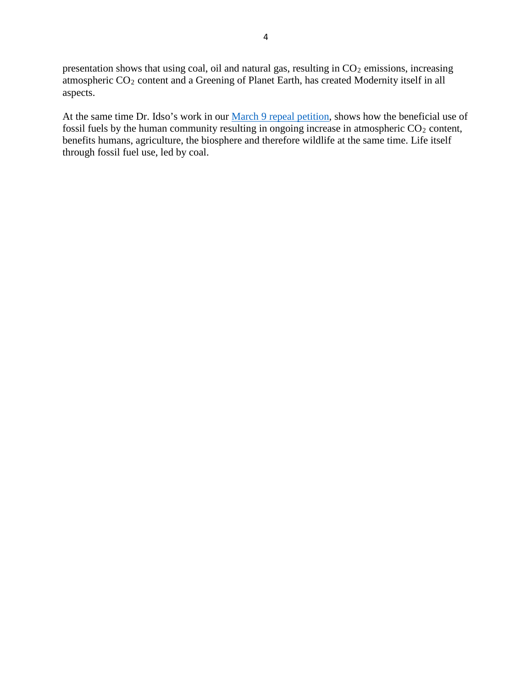presentation shows that using coal, oil and natural gas, resulting in  $CO<sub>2</sub>$  emissions, increasing atmospheric CO2 content and a Greening of Planet Earth, has created Modernity itself in all aspects.

At the same time Dr. Idso's work in our [March 9 repeal petition,](https://www.co2science.org/articles/V23/mar/EPAPetitionCO2ScienceMarch2020.pdf) shows how the beneficial use of fossil fuels by the human community resulting in ongoing increase in atmospheric  $CO<sub>2</sub>$  content, benefits humans, agriculture, the biosphere and therefore wildlife at the same time. Life itself through fossil fuel use, led by coal.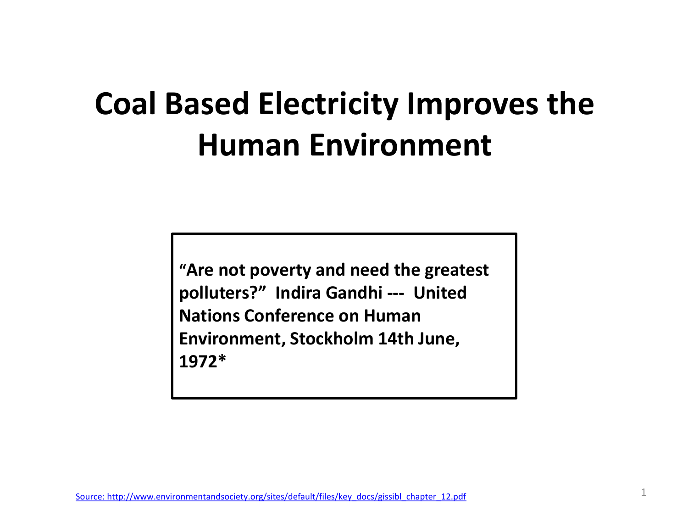# **Coal Based Electricity Improves the Human Environment**

**"Are not poverty and need the greatest polluters?" Indira Gandhi --- United Nations Conference on Human Environment, Stockholm 14th June, 1972\***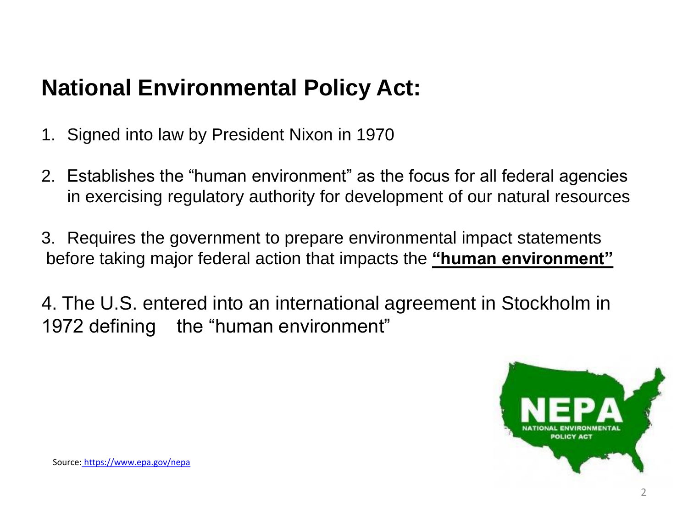#### **National Environmental Policy Act:**

- 1. Signed into law by President Nixon in 1970
- 2. Establishes the "human environment" as the focus for all federal agencies in exercising regulatory authority for development of our natural resources
- 3. Requires the government to prepare environmental impact statements before taking major federal action that impacts the **"human environment"**
- 4. The U.S. entered into an international agreement in Stockholm in 1972 defining the "human environment"

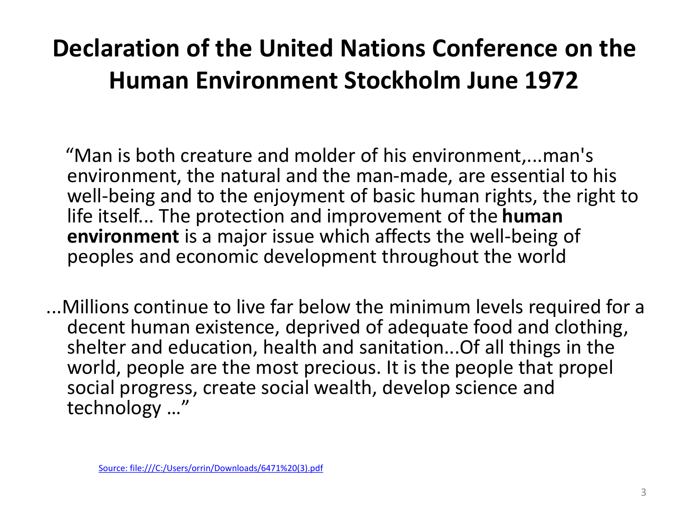# **Declaration of the United Nations Conference on the Human Environment Stockholm June 1972**

"Man is both creature and molder of his environment,...man's environment, the natural and the man-made, are essential to his well-being and to the enjoyment of basic human rights, the right to life itself... The protection and improvement of the **human environment** is a major issue which affects the well-being of peoples and economic development throughout the world

...Millions continue to live far below the minimum levels required for a decent human existence, deprived of adequate food and clothing, shelter and education, health and sanitation...Of all things in the world, people are the most precious. It is the people that propel social progress, create social wealth, develop science and technology …"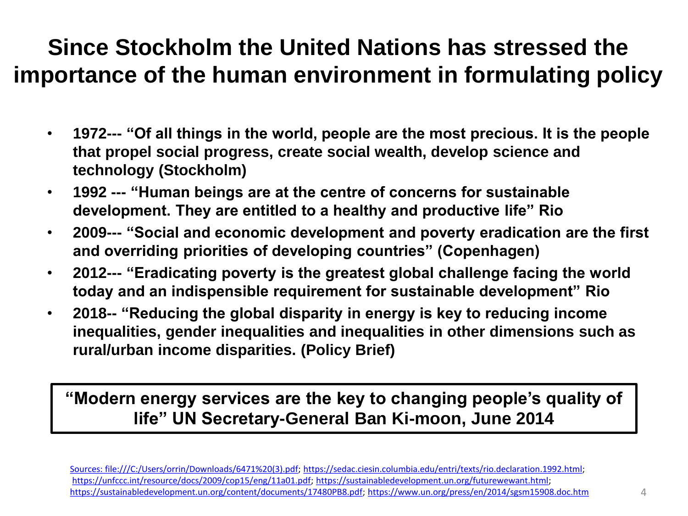### **Since Stockholm the United Nations has stressed the importance of the human environment in formulating policy**

- **1972--- "Of all things in the world, people are the most precious. It is the people that propel social progress, create social wealth, develop science and technology (Stockholm)**
- **1992 --- "Human beings are at the centre of concerns for sustainable development. They are entitled to a healthy and productive life" Rio**
- **2009--- "Social and economic development and poverty eradication are the first and overriding priorities of developing countries" (Copenhagen)**
- **2012--- "Eradicating poverty is the greatest global challenge facing the world today and an indispensible requirement for sustainable development" Rio**
- **2018-- "Reducing the global disparity in energy is key to reducing income inequalities, gender inequalities and inequalities in other dimensions such as rural/urban income disparities. (Policy Brief)**

#### **"Modern energy services are the key to changing people's quality of life" UN Secretary-General Ban Ki-moon, June 2014**

[Sources:](file:///C:/Users/orrin/Downloads/6471%20(3).pdf) [file:///C:/Users/orrin/Downloads/6471%20\(3\).pdf](file:///C:/Users/orrin/Downloads/6471 (3).pdf); <https://sedac.ciesin.columbia.edu/entri/texts/rio.declaration.1992.html>; [https://unfccc.int/resource/docs/2009/cop15/eng/11a01.pdf;](https://unfccc.int/resource/docs/2009/cop15/eng/11a01.pdf) <https://sustainabledevelopment.un.org/futurewewant.html>; [https://sustainabledevelopment.un.org/content/documents/17480PB8.pdf;](https://sustainabledevelopment.un.org/content/documents/17480PB8.pdf) <https://www.un.org/press/en/2014/sgsm15908.doc.htm> 4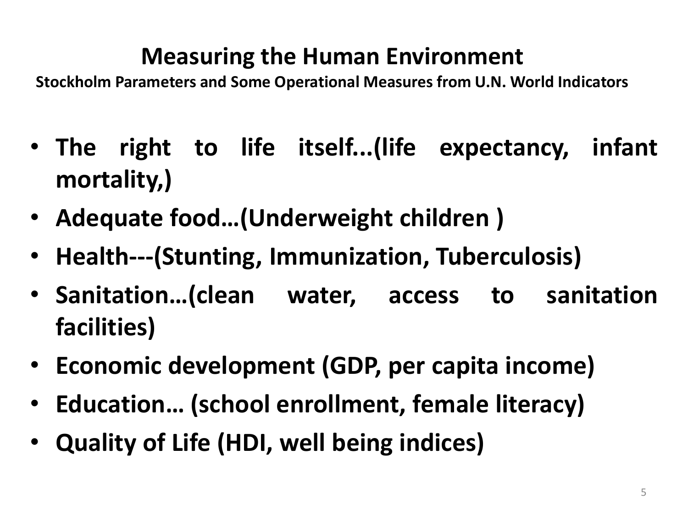## **Measuring the Human Environment**

**Stockholm Parameters and Some Operational Measures from U.N. World Indicators**

- **The right to life itself...(life expectancy, infant mortality,)**
- **Adequate food…(Underweight children )**
- **Health---(Stunting, Immunization, Tuberculosis)**
- **Sanitation…(clean water, access to sanitation facilities)**
- **Economic development (GDP, per capita income)**
- **Education… (school enrollment, female literacy)**
- **Quality of Life (HDI, well being indices)**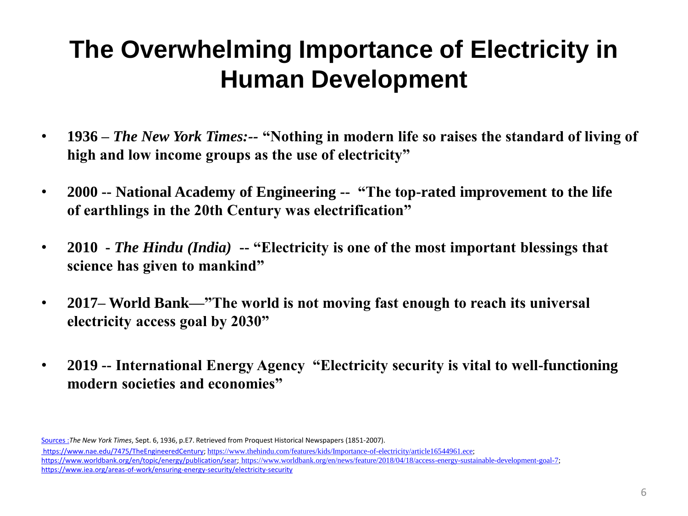# **The Overwhelming Importance of Electricity in Human Development**

- **1936 –** *The New York Times:--* **"Nothing in modern life so raises the standard of living of high and low income groups as the use of electricity"**
- **2000 -- National Academy of Engineering -- "The top-rated improvement to the life of earthlings in the 20th Century was electrification"**
- **2010 -** *The Hindu (India)* **-- "Electricity is one of the most important blessings that science has given to mankind"**
- **2017– World Bank—"The world is not moving fast enough to reach its universal electricity access goal by 2030"**
- **2019 -- International Energy Agency "Electricity security is vital to well-functioning modern societies and economies"**

[Sources :](https://www.nae.edu/7475/TheEngineeredCentury)*The New York Times*, Sept. 6, 1936, p.E7. Retrieved from Proquest Historical Newspapers (1851-2007).

<https://www.nae.edu/7475/TheEngineeredCentury>; [https://www.thehindu.com/features/kids/Importance-of-electricity/article16544961.ece;](https://www.thehindu.com/features/kids/Importance-of-electricity/article16544961.ece) [https://www.worldbank.org/en/topic/energy/publication/sear;](https://www.worldbank.org/en/topic/energy/publication/sear) <https://www.worldbank.org/en/news/feature/2018/04/18/access-energy-sustainable-development-goal-7>; <https://www.iea.org/areas-of-work/ensuring-energy-security/electricity-security>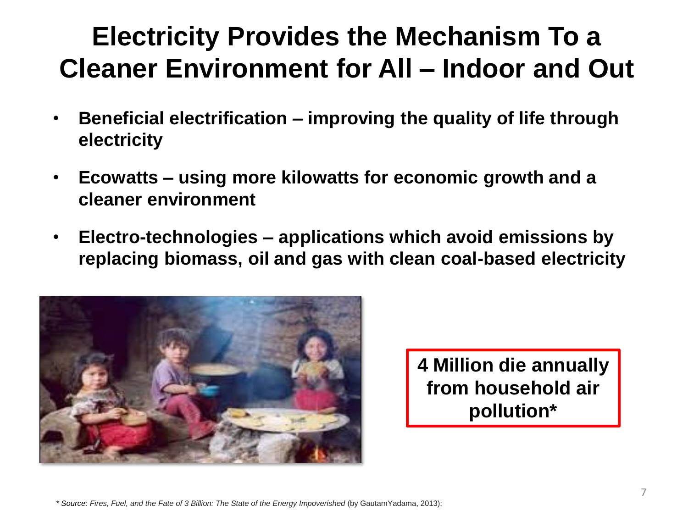# **Electricity Provides the Mechanism To a Cleaner Environment for All – Indoor and Out**

- **Beneficial electrification – improving the quality of life through electricity**
- **Ecowatts – using more kilowatts for economic growth and a cleaner environment**
- **Electro-technologies – applications which avoid emissions by replacing biomass, oil and gas with clean coal-based electricity**



**4 Million die annually from household air pollution\***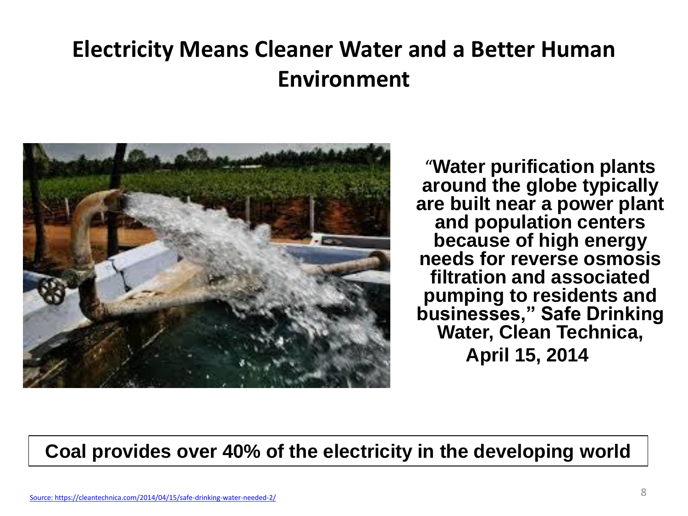#### **Electricity Means Cleaner Water and a Better Human Environment**



"**Water purification plants around the globe typically are built near a power plant and population centers because of high energy needs for reverse osmosis filtration and associated pumping to residents and businesses," Safe Drinking**  Water, Clean Technica, **April 15, 2014**

**Coal provides over 40% of the electricity in the developing world**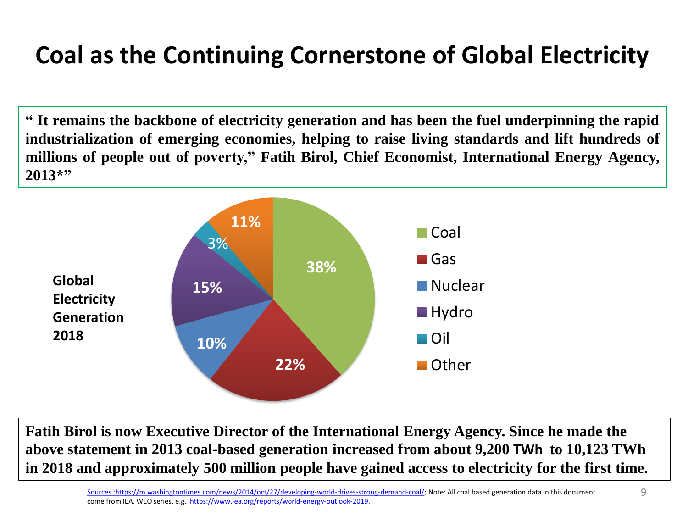# **Coal as the Continuing Cornerstone of Global Electricity**

**" It remains the backbone of electricity generation and has been the fuel underpinning the rapid industrialization of emerging economies, helping to raise living standards and lift hundreds of millions of people out of poverty," Fatih Birol, Chief Economist, International Energy Agency, 2013\*"**



**Fatih Birol is now Executive Director of the International Energy Agency. Since he made the above statement in 2013 coal-based generation increased from about 9,200 TWh to 10,123 TWh in 2018 and approximately 500 million people have gained access to electricity for the first time.**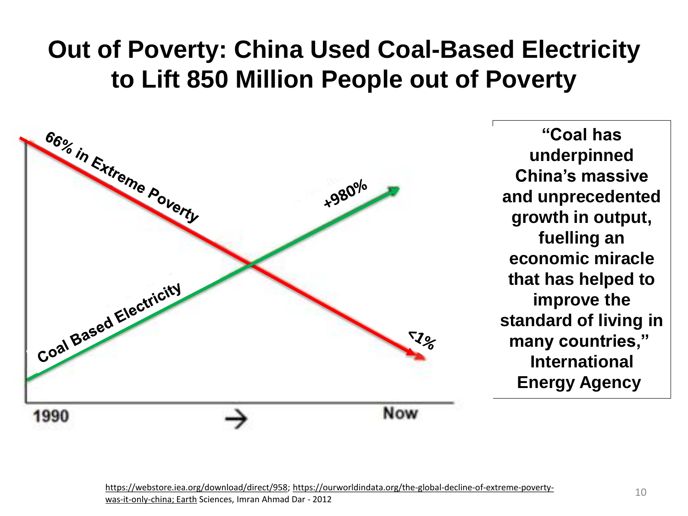## **Out of Poverty: China Used Coal-Based Electricity to Lift 850 Million People out of Poverty**



**"Coal has underpinned China's massive and unprecedented growth in output, fuelling an economic miracle that has helped to improve the standard of living in many countries," International Energy Agency**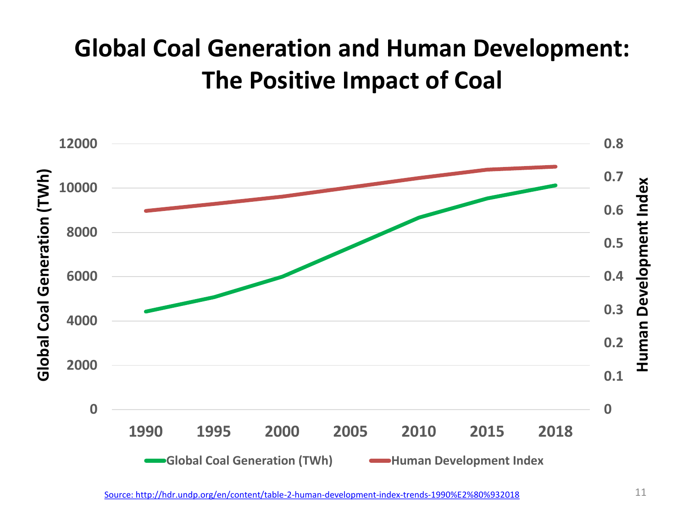# **Global Coal Generation and Human Development: The Positive Impact of Coal**

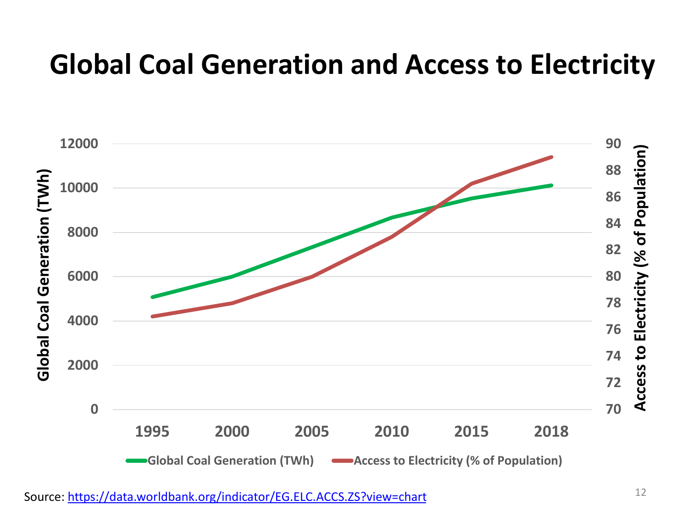# **Global Coal Generation and Access to Electricity**

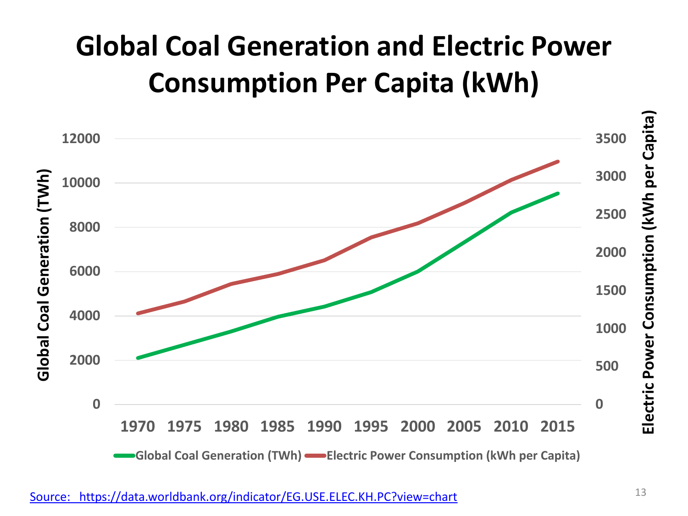# **Global Coal Generation and Electric Power Consumption Per Capita (kWh)**

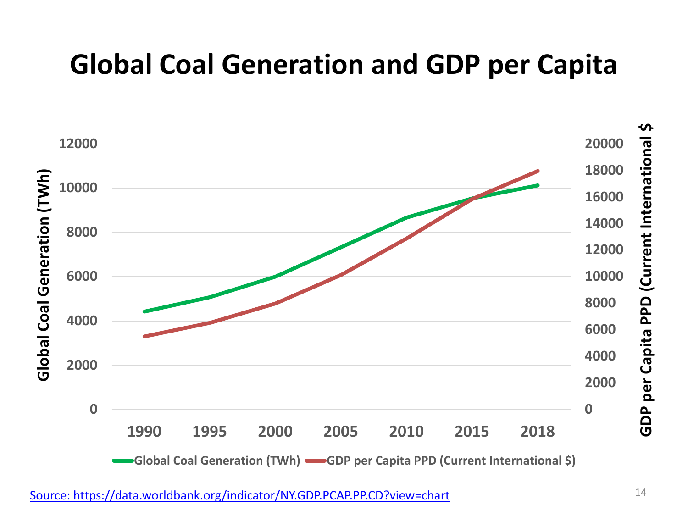# **Global Coal Generation and GDP per Capita**

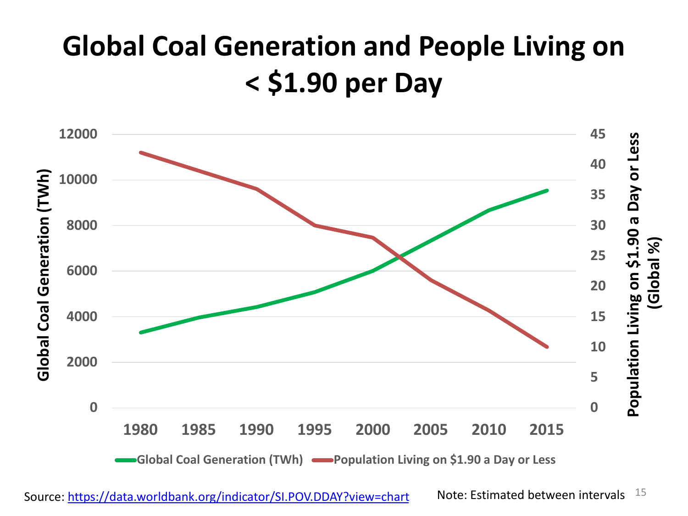# **Global Coal Generation and People Living on < \$1.90 per Day**

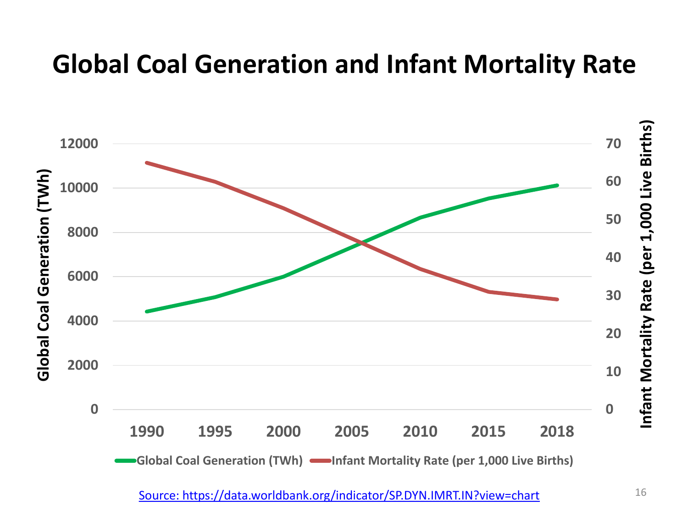## **Global Coal Generation and Infant Mortality Rate**



[Source: https://data.worldbank.org/indicator/SP.DYN.IMRT.IN?view=chart](https://data.worldbank.org/indicator/SP.DYN.IMRT.IN?view=chart) 16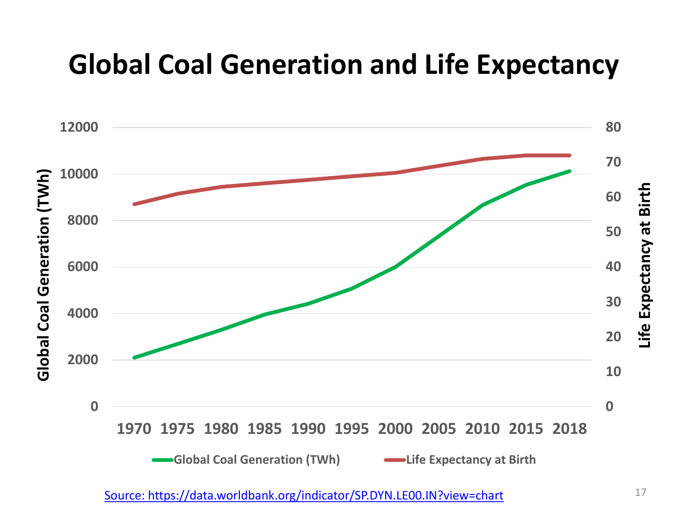# **Global Coal Generation and Life Expectancy**



[Source: https://data.worldbank.org/indicator/SP.DYN.LE00.IN?view=chart](https://data.worldbank.org/indicator/SP.DYN.LE00.IN?view=chart) 17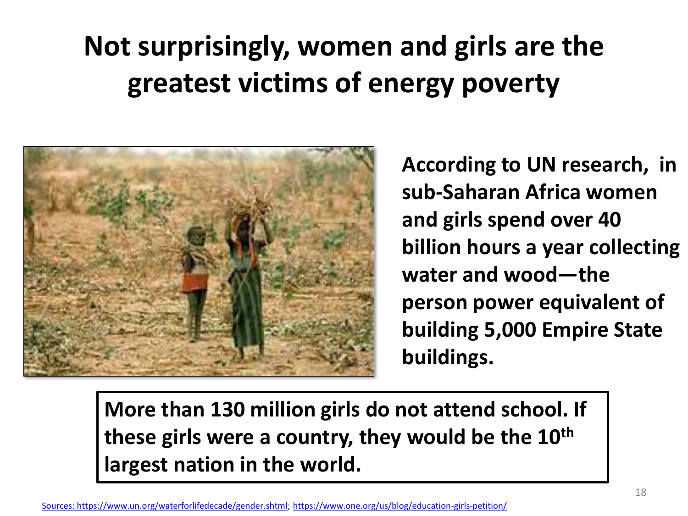# **Not surprisingly, women and girls are the greatest victims of energy poverty**



**According to UN research, in sub-Saharan Africa women and girls spend over 40 billion hours a year collecting water and wood—the person power equivalent of building 5,000 Empire State buildings.** 

#### **More than 130 million girls do not attend school. If these girls were a country, they would be the 10th largest nation in the world.**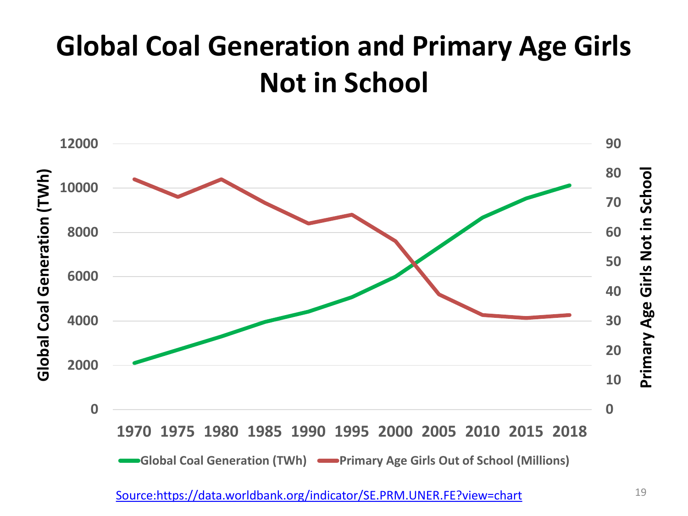# **Global Coal Generation and Primary Age Girls Not in School**



[Source:https://data.worldbank.org/indicator/SE.PRM.UNER.FE?view=chart](https://data.worldbank.org/indicator/SE.PRM.UNER.FE?view=chart) 19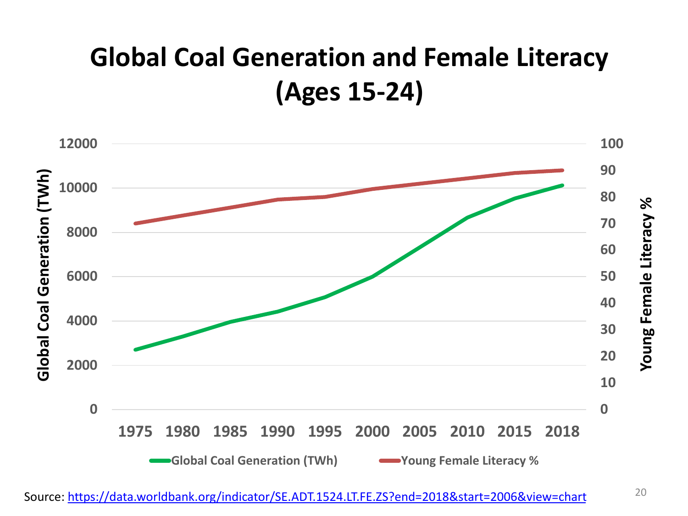# **Global Coal Generation and Female Literacy (Ages 15-24)**

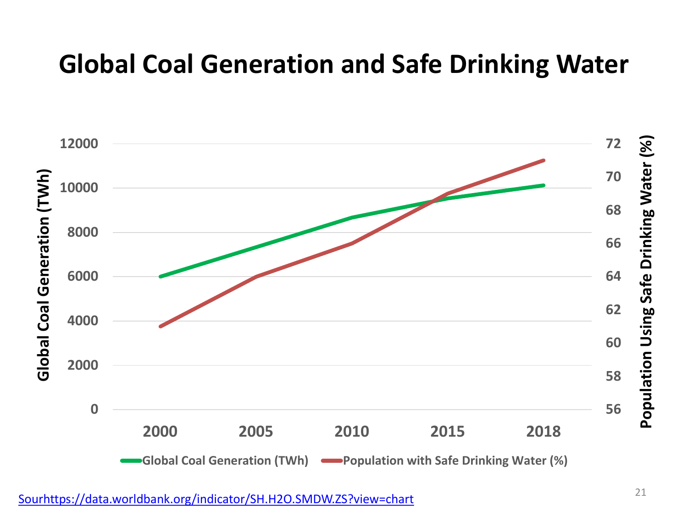# **Global Coal Generation and Safe Drinking Water**

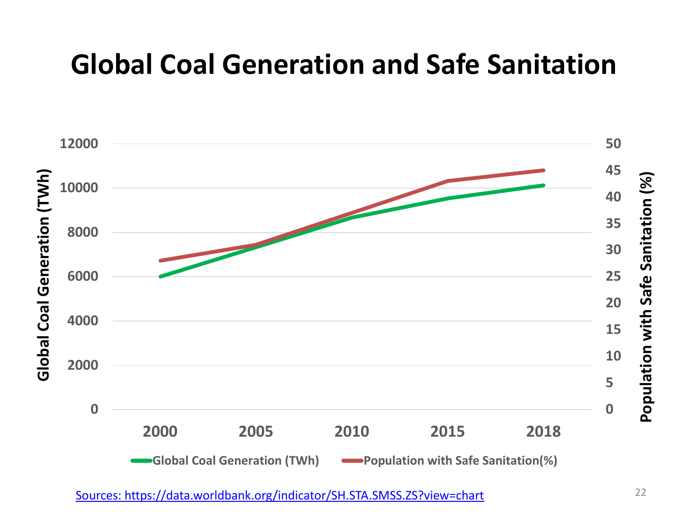# **Global Coal Generation and Safe Sanitation**



[Sources: https://data.worldbank.org/indicator/SH.STA.SMSS.ZS?view=chart](https://data.worldbank.org/indicator/SH.STA.SMSS.ZS?view=chart) 22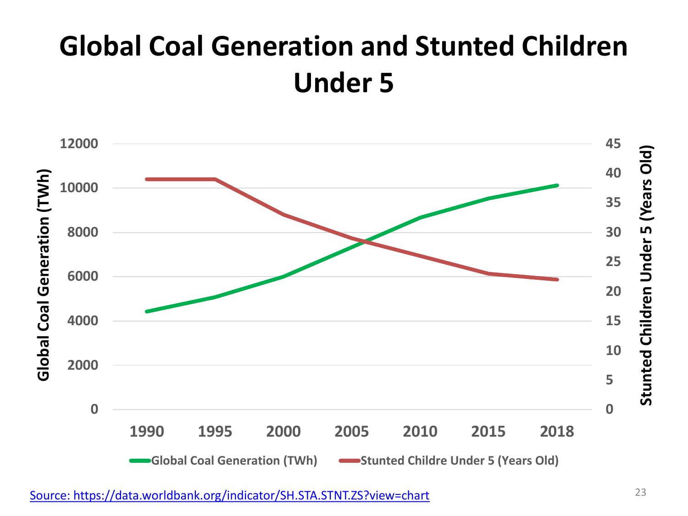# **Global Coal Generation and Stunted Children Under 5**

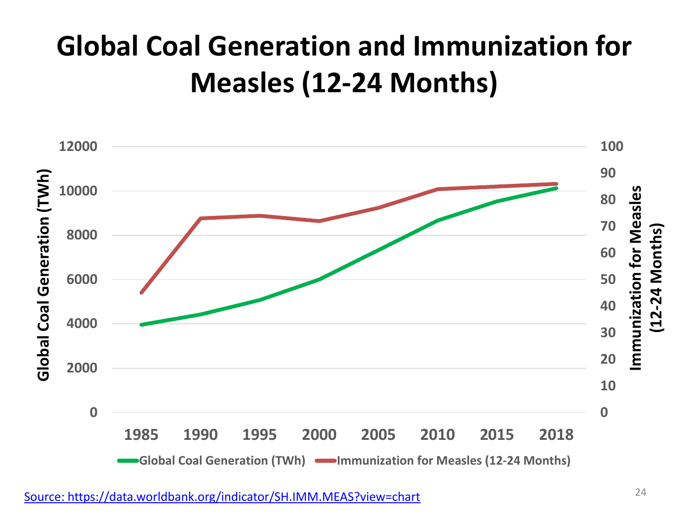# **Global Coal Generation and Immunization for Measles (12-24 Months)**

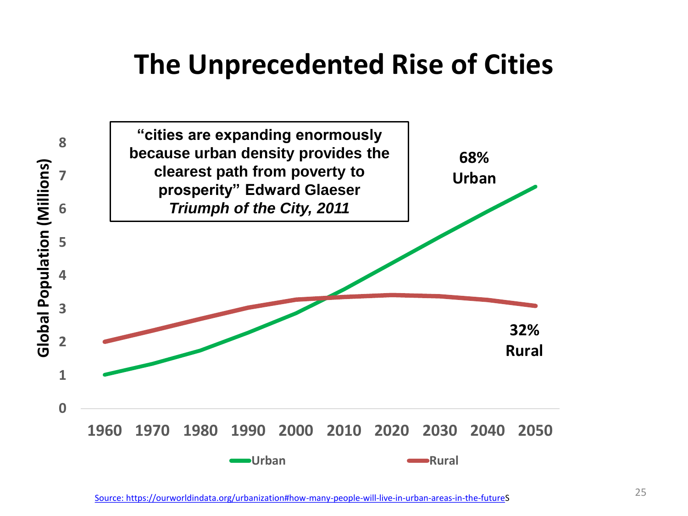# **The Unprecedented Rise of Cities**

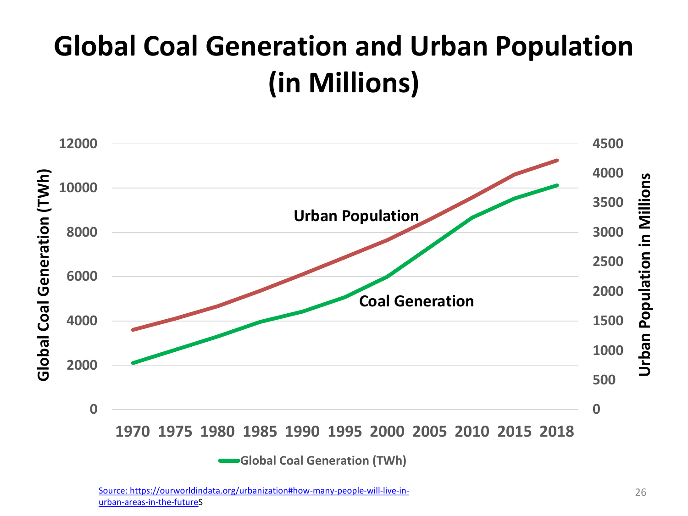# **Global Coal Generation and Urban Population (in Millions)**

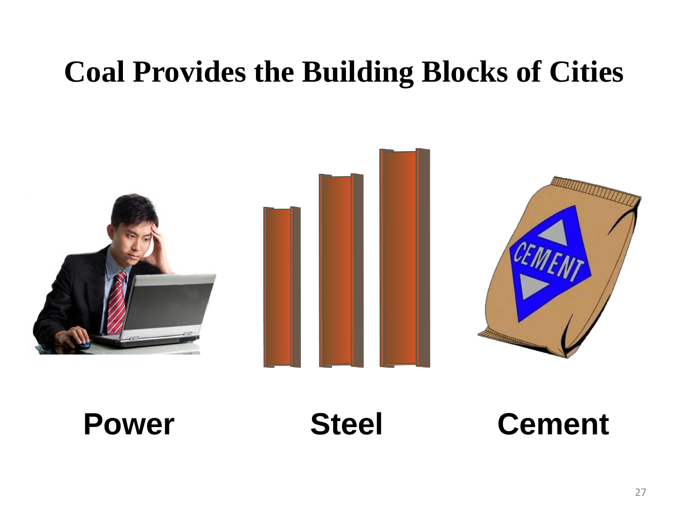# **Coal Provides the Building Blocks of Cities**



**Power Steel Cement**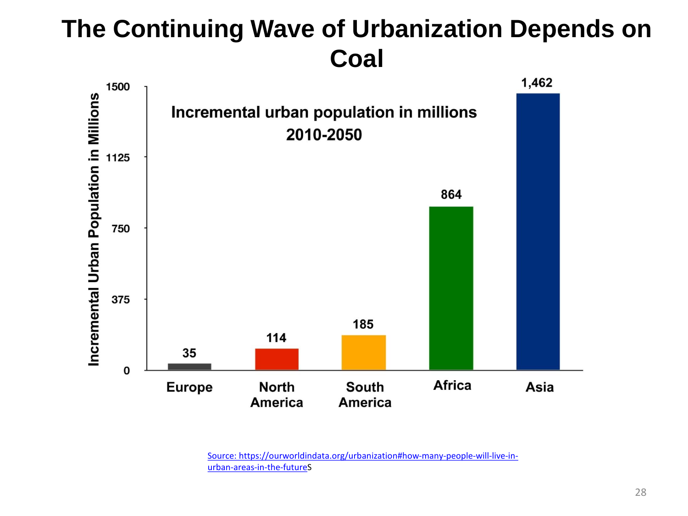# **The Continuing Wave of Urbanization Depends on Coal**



[Source: https://ourworldindata.org/urbanization#how-many-people-will-live-in](https://ourworldindata.org/urbanization#how-many-people-will-live-in-urban-areas-in-the-future)urban-areas-in-the-futureS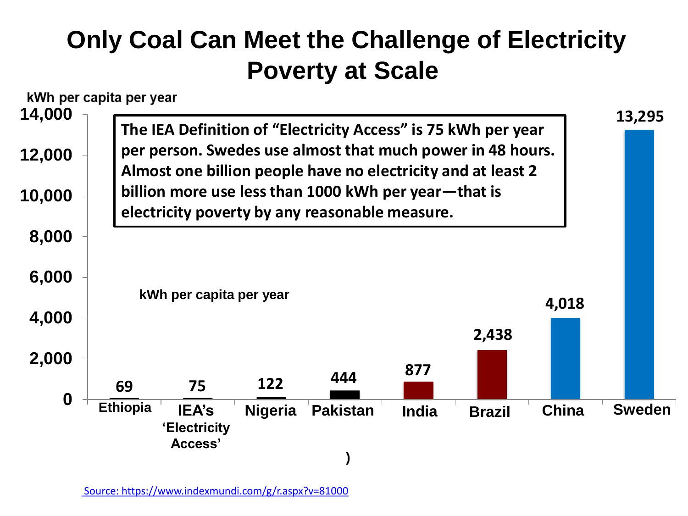# **Only Coal Can Meet the Challenge of Electricity Poverty at Scale**

kWh per capita per year



[Source: https://www.indexmundi.com/g/r.aspx?v=81000](https://www.indexmundi.com/g/r.aspx?v=81000)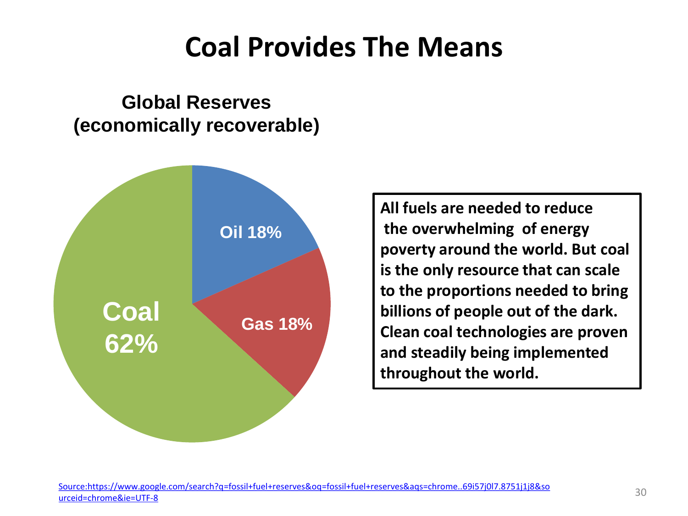# **Coal Provides The Means**

#### **Global Reserves (economically recoverable)**



Gas 18% **Comment of Propressive and Learning Clean coal technologies are proven 95% throughout the world. All fuels are needed to reduce the overwhelming of energy poverty around the world. But coal is the only resource that can scale to the proportions needed to bring billions of people out of the dark. and steadily being implemented**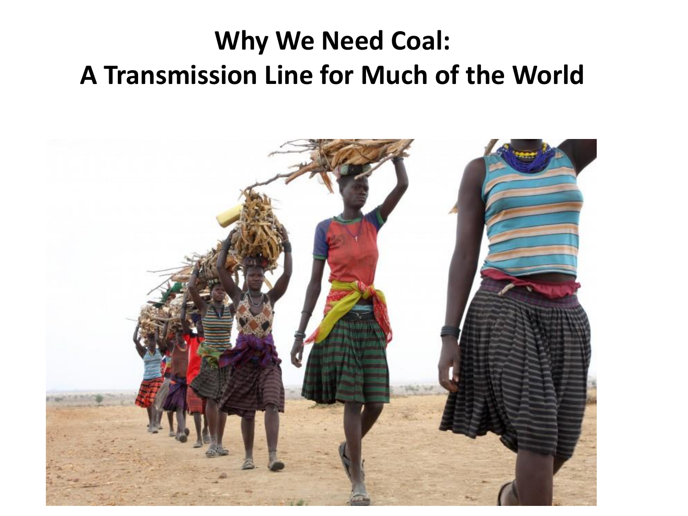# **Why We Need Coal: A Transmission Line for Much of the World**